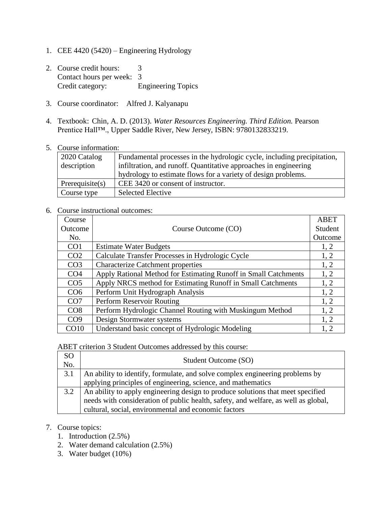- 1. CEE 4420 (5420) Engineering Hydrology
- 2. Course credit hours: 3 Contact hours per week: 3 Credit category: Engineering Topics
- 3. Course coordinator: Alfred J. Kalyanapu
- 4. Textbook: Chin, A. D. (2013). *Water Resources Engineering. Third Edition.* Pearson Prentice Hall™., Upper Saddle River, New Jersey, ISBN: 9780132833219.
- 5. Course information:

| 2020 Catalog       | Fundamental processes in the hydrologic cycle, including precipitation, |
|--------------------|-------------------------------------------------------------------------|
| description        | infiltration, and runoff. Quantitative approaches in engineering        |
|                    | hydrology to estimate flows for a variety of design problems.           |
| Prerequisite $(s)$ | CEE 3420 or consent of instructor.                                      |
| Course type        | <b>Selected Elective</b>                                                |

6. Course instructional outcomes:

| Course          |                                                                 | <b>ABET</b> |
|-----------------|-----------------------------------------------------------------|-------------|
| Outcome         | Course Outcome (CO)                                             | Student     |
| No.             |                                                                 | Outcome     |
| CO <sub>1</sub> | <b>Estimate Water Budgets</b>                                   | 1, 2        |
| CO <sub>2</sub> | Calculate Transfer Processes in Hydrologic Cycle                | 1, 2        |
| CO <sub>3</sub> | <b>Characterize Catchment properties</b>                        | 1, 2        |
| CO <sub>4</sub> | Apply Rational Method for Estimating Runoff in Small Catchments | 1, 2        |
| CO <sub>5</sub> | Apply NRCS method for Estimating Runoff in Small Catchments     | 1, 2        |
| CO <sub>6</sub> | Perform Unit Hydrograph Analysis                                | 1, 2        |
| CO <sub>7</sub> | Perform Reservoir Routing                                       | 1, 2        |
| CO8             | Perform Hydrologic Channel Routing with Muskingum Method        | 1, 2        |
| CO9             | Design Stormwater systems                                       | 1, 2        |
| CO10            | Understand basic concept of Hydrologic Modeling                 | 1, 2        |

ABET criterion 3 Student Outcomes addressed by this course:

| SO<br>No. | Student Outcome (SO)                                                               |
|-----------|------------------------------------------------------------------------------------|
| 3.1       | An ability to identify, formulate, and solve complex engineering problems by       |
|           | applying principles of engineering, science, and mathematics                       |
| 3.2       | An ability to apply engineering design to produce solutions that meet specified    |
|           | needs with consideration of public health, safety, and welfare, as well as global, |
|           | cultural, social, environmental and economic factors                               |

## 7. Course topics:

- 1. Introduction (2.5%)
- 2. Water demand calculation (2.5%)
- 3. Water budget (10%)